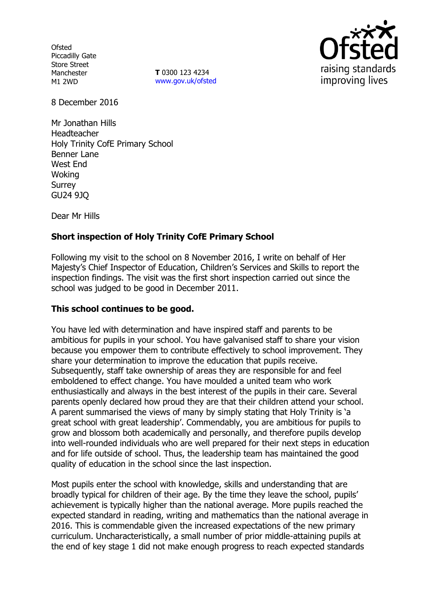**Ofsted** Piccadilly Gate Store Street Manchester M1 2WD

**T** 0300 123 4234 www.gov.uk/ofsted



8 December 2016

Mr Jonathan Hills Headteacher Holy Trinity CofE Primary School Benner Lane West End **Woking** Surrey GU24 9JQ

Dear Mr Hills

# **Short inspection of Holy Trinity CofE Primary School**

Following my visit to the school on 8 November 2016, I write on behalf of Her Majesty's Chief Inspector of Education, Children's Services and Skills to report the inspection findings. The visit was the first short inspection carried out since the school was judged to be good in December 2011.

## **This school continues to be good.**

You have led with determination and have inspired staff and parents to be ambitious for pupils in your school. You have galvanised staff to share your vision because you empower them to contribute effectively to school improvement. They share your determination to improve the education that pupils receive. Subsequently, staff take ownership of areas they are responsible for and feel emboldened to effect change. You have moulded a united team who work enthusiastically and always in the best interest of the pupils in their care. Several parents openly declared how proud they are that their children attend your school. A parent summarised the views of many by simply stating that Holy Trinity is 'a great school with great leadership'. Commendably, you are ambitious for pupils to grow and blossom both academically and personally, and therefore pupils develop into well-rounded individuals who are well prepared for their next steps in education and for life outside of school. Thus, the leadership team has maintained the good quality of education in the school since the last inspection.

Most pupils enter the school with knowledge, skills and understanding that are broadly typical for children of their age. By the time they leave the school, pupils' achievement is typically higher than the national average. More pupils reached the expected standard in reading, writing and mathematics than the national average in 2016. This is commendable given the increased expectations of the new primary curriculum. Uncharacteristically, a small number of prior middle-attaining pupils at the end of key stage 1 did not make enough progress to reach expected standards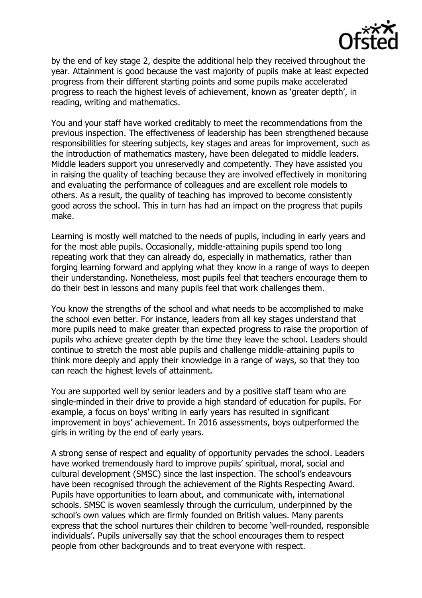

by the end of key stage 2, despite the additional help they received throughout the year. Attainment is good because the vast majority of pupils make at least expected progress from their different starting points and some pupils make accelerated progress to reach the highest levels of achievement, known as 'greater depth', in reading, writing and mathematics.

You and your staff have worked creditably to meet the recommendations from the previous inspection. The effectiveness of leadership has been strengthened because responsibilities for steering subjects, key stages and areas for improvement, such as the introduction of mathematics mastery, have been delegated to middle leaders. Middle leaders support you unreservedly and competently. They have assisted you in raising the quality of teaching because they are involved effectively in monitoring and evaluating the performance of colleagues and are excellent role models to others. As a result, the quality of teaching has improved to become consistently good across the school. This in turn has had an impact on the progress that pupils make.

Learning is mostly well matched to the needs of pupils, including in early years and for the most able pupils. Occasionally, middle-attaining pupils spend too long repeating work that they can already do, especially in mathematics, rather than forging learning forward and applying what they know in a range of ways to deepen their understanding. Nonetheless, most pupils feel that teachers encourage them to do their best in lessons and many pupils feel that work challenges them.

You know the strengths of the school and what needs to be accomplished to make the school even better. For instance, leaders from all key stages understand that more pupils need to make greater than expected progress to raise the proportion of pupils who achieve greater depth by the time they leave the school. Leaders should continue to stretch the most able pupils and challenge middle-attaining pupils to think more deeply and apply their knowledge in a range of ways, so that they too can reach the highest levels of attainment.

You are supported well by senior leaders and by a positive staff team who are single-minded in their drive to provide a high standard of education for pupils. For example, a focus on boys' writing in early years has resulted in significant improvement in boys' achievement. In 2016 assessments, boys outperformed the girls in writing by the end of early years.

A strong sense of respect and equality of opportunity pervades the school. Leaders have worked tremendously hard to improve pupils' spiritual, moral, social and cultural development (SMSC) since the last inspection. The school's endeavours have been recognised through the achievement of the Rights Respecting Award. Pupils have opportunities to learn about, and communicate with, international schools. SMSC is woven seamlessly through the curriculum, underpinned by the school's own values which are firmly founded on British values. Many parents express that the school nurtures their children to become 'well-rounded, responsible individuals'. Pupils universally say that the school encourages them to respect people from other backgrounds and to treat everyone with respect.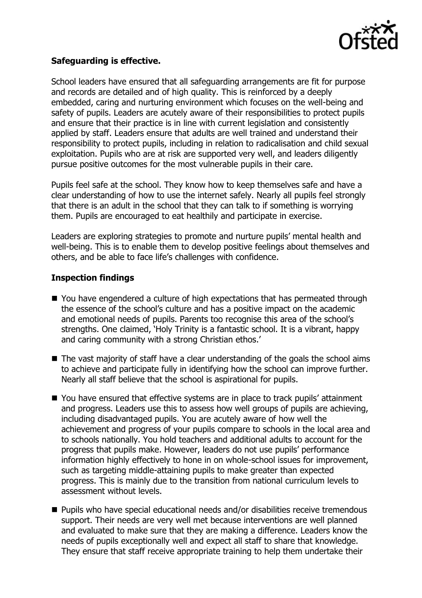

## **Safeguarding is effective.**

School leaders have ensured that all safeguarding arrangements are fit for purpose and records are detailed and of high quality. This is reinforced by a deeply embedded, caring and nurturing environment which focuses on the well-being and safety of pupils. Leaders are acutely aware of their responsibilities to protect pupils and ensure that their practice is in line with current legislation and consistently applied by staff. Leaders ensure that adults are well trained and understand their responsibility to protect pupils, including in relation to radicalisation and child sexual exploitation. Pupils who are at risk are supported very well, and leaders diligently pursue positive outcomes for the most vulnerable pupils in their care.

Pupils feel safe at the school. They know how to keep themselves safe and have a clear understanding of how to use the internet safely. Nearly all pupils feel strongly that there is an adult in the school that they can talk to if something is worrying them. Pupils are encouraged to eat healthily and participate in exercise.

Leaders are exploring strategies to promote and nurture pupils' mental health and well-being. This is to enable them to develop positive feelings about themselves and others, and be able to face life's challenges with confidence.

#### **Inspection findings**

- You have engendered a culture of high expectations that has permeated through the essence of the school's culture and has a positive impact on the academic and emotional needs of pupils. Parents too recognise this area of the school's strengths. One claimed, 'Holy Trinity is a fantastic school. It is a vibrant, happy and caring community with a strong Christian ethos.'
- $\blacksquare$  The vast majority of staff have a clear understanding of the goals the school aims to achieve and participate fully in identifying how the school can improve further. Nearly all staff believe that the school is aspirational for pupils.
- You have ensured that effective systems are in place to track pupils' attainment and progress. Leaders use this to assess how well groups of pupils are achieving, including disadvantaged pupils. You are acutely aware of how well the achievement and progress of your pupils compare to schools in the local area and to schools nationally. You hold teachers and additional adults to account for the progress that pupils make. However, leaders do not use pupils' performance information highly effectively to hone in on whole-school issues for improvement, such as targeting middle-attaining pupils to make greater than expected progress. This is mainly due to the transition from national curriculum levels to assessment without levels.
- Pupils who have special educational needs and/or disabilities receive tremendous support. Their needs are very well met because interventions are well planned and evaluated to make sure that they are making a difference. Leaders know the needs of pupils exceptionally well and expect all staff to share that knowledge. They ensure that staff receive appropriate training to help them undertake their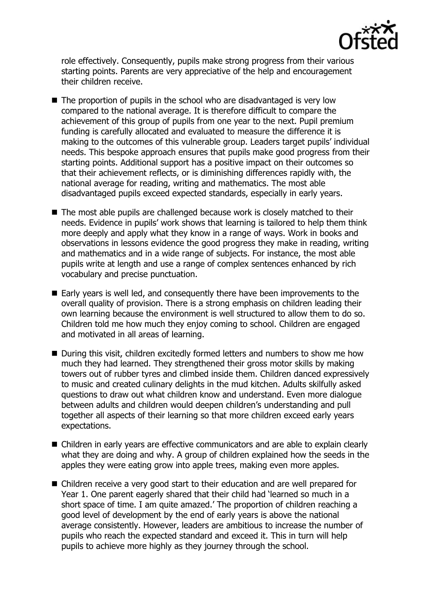

role effectively. Consequently, pupils make strong progress from their various starting points. Parents are very appreciative of the help and encouragement their children receive.

- The proportion of pupils in the school who are disadvantaged is very low compared to the national average. It is therefore difficult to compare the achievement of this group of pupils from one year to the next. Pupil premium funding is carefully allocated and evaluated to measure the difference it is making to the outcomes of this vulnerable group. Leaders target pupils' individual needs. This bespoke approach ensures that pupils make good progress from their starting points. Additional support has a positive impact on their outcomes so that their achievement reflects, or is diminishing differences rapidly with, the national average for reading, writing and mathematics. The most able disadvantaged pupils exceed expected standards, especially in early years.
- The most able pupils are challenged because work is closely matched to their needs. Evidence in pupils' work shows that learning is tailored to help them think more deeply and apply what they know in a range of ways. Work in books and observations in lessons evidence the good progress they make in reading, writing and mathematics and in a wide range of subjects. For instance, the most able pupils write at length and use a range of complex sentences enhanced by rich vocabulary and precise punctuation.
- Early years is well led, and consequently there have been improvements to the overall quality of provision. There is a strong emphasis on children leading their own learning because the environment is well structured to allow them to do so. Children told me how much they enjoy coming to school. Children are engaged and motivated in all areas of learning.
- During this visit, children excitedly formed letters and numbers to show me how much they had learned. They strengthened their gross motor skills by making towers out of rubber tyres and climbed inside them. Children danced expressively to music and created culinary delights in the mud kitchen. Adults skilfully asked questions to draw out what children know and understand. Even more dialogue between adults and children would deepen children's understanding and pull together all aspects of their learning so that more children exceed early years expectations.
- Children in early years are effective communicators and are able to explain clearly what they are doing and why. A group of children explained how the seeds in the apples they were eating grow into apple trees, making even more apples.
- Children receive a very good start to their education and are well prepared for Year 1. One parent eagerly shared that their child had 'learned so much in a short space of time. I am quite amazed.' The proportion of children reaching a good level of development by the end of early years is above the national average consistently. However, leaders are ambitious to increase the number of pupils who reach the expected standard and exceed it. This in turn will help pupils to achieve more highly as they journey through the school.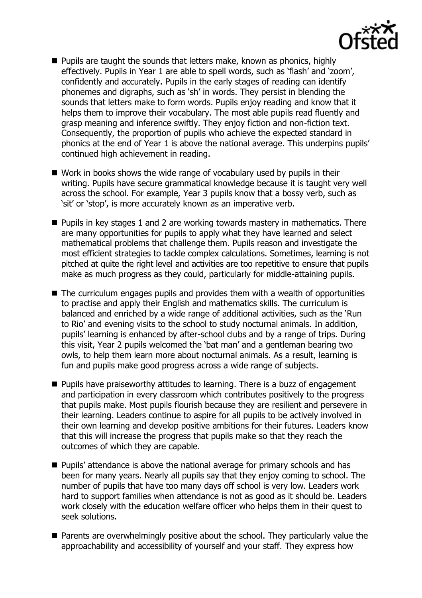

- **Pupils are taught the sounds that letters make, known as phonics, highly** effectively. Pupils in Year 1 are able to spell words, such as 'flash' and 'zoom', confidently and accurately. Pupils in the early stages of reading can identify phonemes and digraphs, such as 'sh' in words. They persist in blending the sounds that letters make to form words. Pupils enjoy reading and know that it helps them to improve their vocabulary. The most able pupils read fluently and grasp meaning and inference swiftly. They enjoy fiction and non-fiction text. Consequently, the proportion of pupils who achieve the expected standard in phonics at the end of Year 1 is above the national average. This underpins pupils' continued high achievement in reading.
- Work in books shows the wide range of vocabulary used by pupils in their writing. Pupils have secure grammatical knowledge because it is taught very well across the school. For example, Year 3 pupils know that a bossy verb, such as 'sit' or 'stop', is more accurately known as an imperative verb.
- **Pupils in key stages 1 and 2 are working towards mastery in mathematics. There** are many opportunities for pupils to apply what they have learned and select mathematical problems that challenge them. Pupils reason and investigate the most efficient strategies to tackle complex calculations. Sometimes, learning is not pitched at quite the right level and activities are too repetitive to ensure that pupils make as much progress as they could, particularly for middle-attaining pupils.
- The curriculum engages pupils and provides them with a wealth of opportunities to practise and apply their English and mathematics skills. The curriculum is balanced and enriched by a wide range of additional activities, such as the 'Run to Rio' and evening visits to the school to study nocturnal animals. In addition, pupils' learning is enhanced by after-school clubs and by a range of trips. During this visit, Year 2 pupils welcomed the 'bat man' and a gentleman bearing two owls, to help them learn more about nocturnal animals. As a result, learning is fun and pupils make good progress across a wide range of subjects.
- **Pupils have praiseworthy attitudes to learning. There is a buzz of engagement** and participation in every classroom which contributes positively to the progress that pupils make. Most pupils flourish because they are resilient and persevere in their learning. Leaders continue to aspire for all pupils to be actively involved in their own learning and develop positive ambitions for their futures. Leaders know that this will increase the progress that pupils make so that they reach the outcomes of which they are capable.
- **Pupils' attendance is above the national average for primary schools and has** been for many years. Nearly all pupils say that they enjoy coming to school. The number of pupils that have too many days off school is very low. Leaders work hard to support families when attendance is not as good as it should be. Leaders work closely with the education welfare officer who helps them in their quest to seek solutions.
- **Parents are overwhelmingly positive about the school. They particularly value the** approachability and accessibility of yourself and your staff. They express how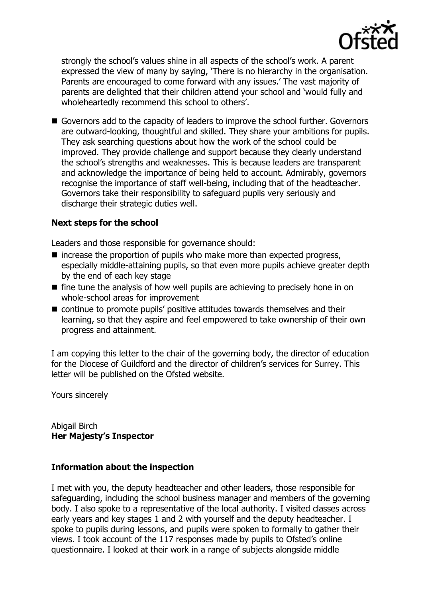

strongly the school's values shine in all aspects of the school's work. A parent expressed the view of many by saying, 'There is no hierarchy in the organisation. Parents are encouraged to come forward with any issues.' The vast majority of parents are delighted that their children attend your school and 'would fully and wholeheartedly recommend this school to others'.

Governors add to the capacity of leaders to improve the school further. Governors are outward-looking, thoughtful and skilled. They share your ambitions for pupils. They ask searching questions about how the work of the school could be improved. They provide challenge and support because they clearly understand the school's strengths and weaknesses. This is because leaders are transparent and acknowledge the importance of being held to account. Admirably, governors recognise the importance of staff well-being, including that of the headteacher. Governors take their responsibility to safeguard pupils very seriously and discharge their strategic duties well.

## **Next steps for the school**

Leaders and those responsible for governance should:

- $\blacksquare$  increase the proportion of pupils who make more than expected progress, especially middle-attaining pupils, so that even more pupils achieve greater depth by the end of each key stage
- $\blacksquare$  fine tune the analysis of how well pupils are achieving to precisely hone in on whole-school areas for improvement
- continue to promote pupils' positive attitudes towards themselves and their learning, so that they aspire and feel empowered to take ownership of their own progress and attainment.

I am copying this letter to the chair of the governing body, the director of education for the Diocese of Guildford and the director of children's services for Surrey. This letter will be published on the Ofsted website.

Yours sincerely

Abigail Birch **Her Majesty's Inspector**

#### **Information about the inspection**

I met with you, the deputy headteacher and other leaders, those responsible for safeguarding, including the school business manager and members of the governing body. I also spoke to a representative of the local authority. I visited classes across early years and key stages 1 and 2 with yourself and the deputy headteacher. I spoke to pupils during lessons, and pupils were spoken to formally to gather their views. I took account of the 117 responses made by pupils to Ofsted's online questionnaire. I looked at their work in a range of subjects alongside middle